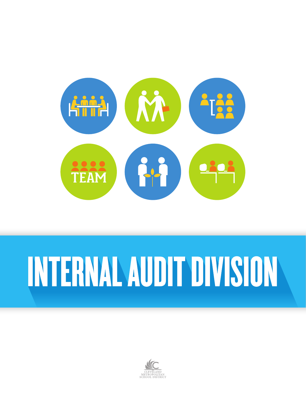

# INTERNAL AUDIT DIVISION

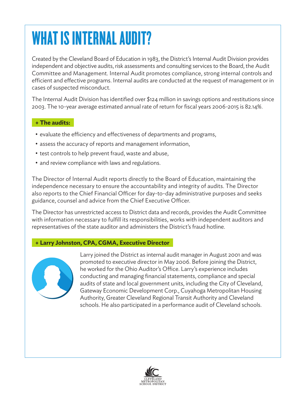## WHAT IS INTERNAL AUDIT?

Created by the Cleveland Board of Education in 1983, the District's Internal Audit Division provides independent and objective audits, risk assessments and consulting services to the Board, the Audit Committee and Management. Internal Audit promotes compliance, strong internal controls and efficient and effective programs. Internal audits are conducted at the request of management or in cases of suspected misconduct.

The Internal Audit Division has identified over \$124 million in savings options and restitutions since 2003. The 10-year average estimated annual rate of return for fiscal years 2006-2015 is 82.14%.

#### **+ The audits:**

- evaluate the efficiency and effectiveness of departments and programs,
- assess the accuracy of reports and management information,
- test controls to help prevent fraud, waste and abuse,
- and review compliance with laws and regulations.

The Director of Internal Audit reports directly to the Board of Education, maintaining the independence necessary to ensure the accountability and integrity of audits. The Director also reports to the Chief Financial Officer for day-to-day administrative purposes and seeks guidance, counsel and advice from the Chief Executive Officer.

The Director has unrestricted access to District data and records, provides the Audit Committee with information necessary to fulfill its responsibilities, works with independent auditors and representatives of the state auditor and administers the District's fraud hotline.

#### **+ Larry Johnston, CPA, CGMA, Executive Director**



Larry joined the District as internal audit manager in August 2001 and was promoted to executive director in May 2006. Before joining the District, he worked for the Ohio Auditor's Office. Larry's experience includes conducting and managing financial statements, compliance and special audits of state and local government units, including the City of Cleveland, Gateway Economic Development Corp., Cuyahoga Metropolitan Housing Authority, Greater Cleveland Regional Transit Authority and Cleveland schools. He also participated in a performance audit of Cleveland schools.

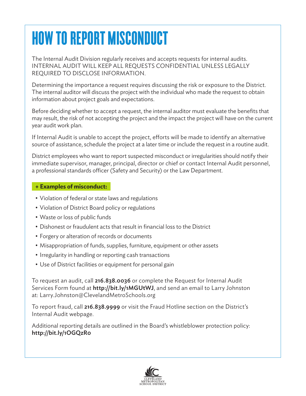## HOW TO REPORT MISCONDUCT

The Internal Audit Division regularly receives and accepts requests for internal audits. INTERNAL AUDIT WILL KEEP ALL REQUESTS CONFIDENTIAL UNLESS LEGALLY REQUIRED TO DISCLOSE INFORMATION.

Determining the importance a request requires discussing the risk or exposure to the District. The internal auditor will discuss the project with the individual who made the request to obtain information about project goals and expectations.

Before deciding whether to accept a request, the internal auditor must evaluate the benefits that may result, the risk of not accepting the project and the impact the project will have on the current year audit work plan.

If Internal Audit is unable to accept the project, efforts will be made to identify an alternative source of assistance, schedule the project at a later time or include the request in a routine audit.

District employees who want to report suspected misconduct or irregularities should notify their immediate supervisor, manager, principal, director or chief or contact Internal Audit personnel, a professional standards officer (Safety and Security) or the Law Department.

#### **+ Examples of misconduct:**

- Violation of federal or state laws and regulations
- Violation of District Board policy or regulations
- Waste or loss of public funds
- Dishonest or fraudulent acts that result in financial loss to the District
- Forgery or alteration of records or documents
- Misappropriation of funds, supplies, furniture, equipment or other assets
- Irregularity in handling or reporting cash transactions
- Use of District facilities or equipment for personal gain

To request an audit, call 216.838.0036 or complete the Request for Internal Audit Services Form found at <http://bit.ly/1MGUtWJ>, and send an email to Larry Johnston at: [Larry.Johnston@ClevelandMetroSchools.org](mailto:Larry.Johnston%40ClevelandMetroSchools.org?subject=Internal%20Audit%20Request)

To report fraud, call 216.838.9999 or visit the Fraud Hotline section on the District's Internal Audit webpage.

Additional reporting details are outlined in the Board's whistleblower protection policy: <http://bit.ly/1OGQzR0>